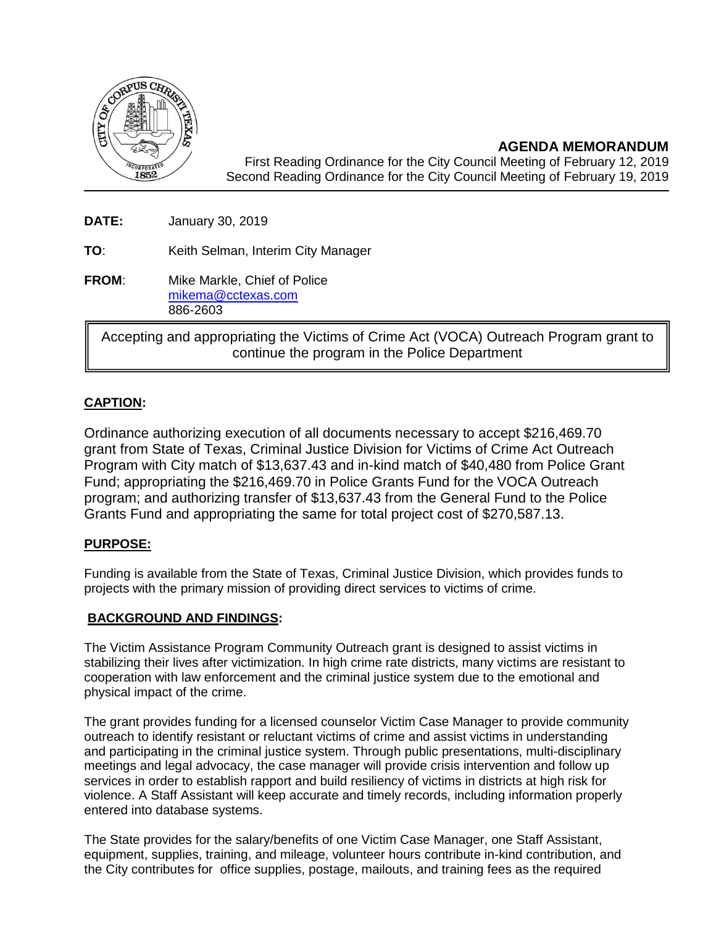

**AGENDA MEMORANDUM** First Reading Ordinance for the City Council Meeting of February 12, 2019 Second Reading Ordinance for the City Council Meeting of February 19, 2019

**DATE:** January 30, 2019

**TO**: Keith Selman, Interim City Manager

**FROM:** Mike Markle, Chief of Police [mikema@cctexas.com](mailto:mikema@cctexas.com) 886-2603

Accepting and appropriating the Victims of Crime Act (VOCA) Outreach Program grant to continue the program in the Police Department

# **CAPTION:**

Ordinance authorizing execution of all documents necessary to accept \$216,469.70 grant from State of Texas, Criminal Justice Division for Victims of Crime Act Outreach Program with City match of \$13,637.43 and in-kind match of \$40,480 from Police Grant Fund; appropriating the \$216,469.70 in Police Grants Fund for the VOCA Outreach program; and authorizing transfer of \$13,637.43 from the General Fund to the Police Grants Fund and appropriating the same for total project cost of \$270,587.13.

# **PURPOSE:**

Funding is available from the State of Texas, Criminal Justice Division, which provides funds to projects with the primary mission of providing direct services to victims of crime.

# **BACKGROUND AND FINDINGS:**

The Victim Assistance Program Community Outreach grant is designed to assist victims in stabilizing their lives after victimization. In high crime rate districts, many victims are resistant to cooperation with law enforcement and the criminal justice system due to the emotional and physical impact of the crime.

The grant provides funding for a licensed counselor Victim Case Manager to provide community outreach to identify resistant or reluctant victims of crime and assist victims in understanding and participating in the criminal justice system. Through public presentations, multi-disciplinary meetings and legal advocacy, the case manager will provide crisis intervention and follow up services in order to establish rapport and build resiliency of victims in districts at high risk for violence. A Staff Assistant will keep accurate and timely records, including information properly entered into database systems.

The State provides for the salary/benefits of one Victim Case Manager, one Staff Assistant, equipment, supplies, training, and mileage, volunteer hours contribute in-kind contribution, and the City contributes for office supplies, postage, mailouts, and training fees as the required